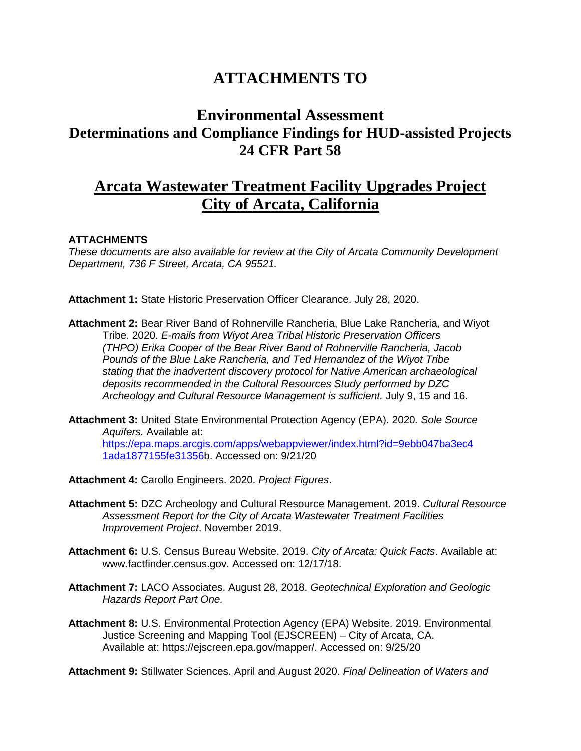## **ATTACHMENTS TO**

## **Environmental Assessment Determinations and Compliance Findings for HUD-assisted Projects 24 CFR Part 58**

## **Arcata Wastewater Treatment Facility Upgrades Project City of Arcata, California**

## **ATTACHMENTS**

*These documents are also available for review at the City of Arcata Community Development Department, 736 F Street, Arcata, CA 95521.*

**Attachment 1:** State Historic Preservation Officer Clearance. July 28, 2020.

- **Attachment 2:** Bear River Band of Rohnerville Rancheria, Blue Lake Rancheria, and Wiyot Tribe. 2020. *E-mails from Wiyot Area Tribal Historic Preservation Officers (THPO) Erika Cooper of the Bear River Band of Rohnerville Rancheria, Jacob Pounds of the Blue Lake Rancheria, and Ted Hernandez of the Wiyot Tribe stating that the inadvertent discovery protocol for Native American archaeological deposits recommended in the Cultural Resources Study performed by DZC Archeology and Cultural Resource Management is sufficient.* July 9, 15 and 16.
- **Attachment 3:** United State Environmental Protection Agency (EPA). 2020*. Sole Source Aquifers.* Available at: https://epa.maps.arcgis.com/apps/webappviewer/index.html?id=9ebb047ba3ec4 1ada1877155fe31356b. Accessed on: 9/21/20
- **Attachment 4:** Carollo Engineers. 2020. *Project Figures*.
- **Attachment 5:** DZC Archeology and Cultural Resource Management. 2019. *Cultural Resource Assessment Report for the City of Arcata Wastewater Treatment Facilities Improvement Project*. November 2019.
- **Attachment 6:** U.S. Census Bureau Website. 2019. *City of Arcata: Quick Facts*. Available at: www.factfinder.census.gov. Accessed on: 12/17/18.
- **Attachment 7:** LACO Associates. August 28, 2018. *Geotechnical Exploration and Geologic Hazards Report Part One.*
- **Attachment 8:** U.S. Environmental Protection Agency (EPA) Website. 2019. Environmental Justice Screening and Mapping Tool (EJSCREEN) – City of Arcata, CA. Available at: https://ejscreen.epa.gov/mapper/. Accessed on: 9/25/20

**Attachment 9:** Stillwater Sciences. April and August 2020. *Final Delineation of Waters and*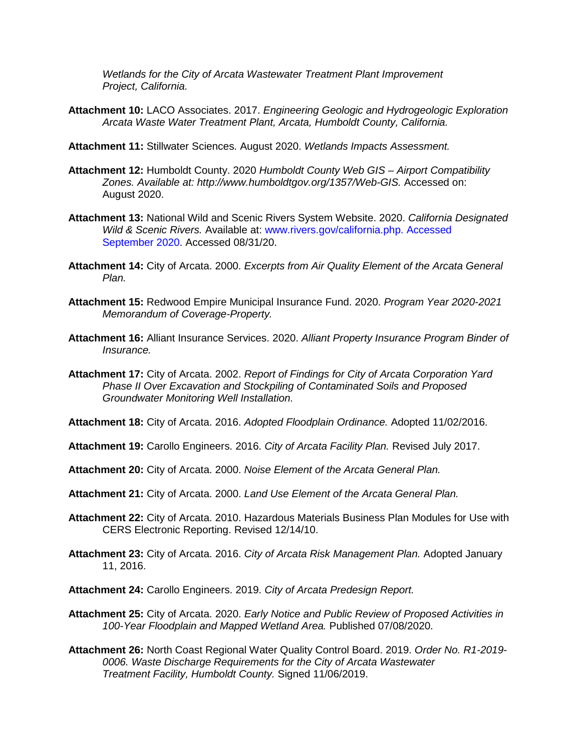*Wetlands for the City of Arcata Wastewater Treatment Plant Improvement Project, California.*

- **Attachment 10:** LACO Associates. 2017. *Engineering Geologic and Hydrogeologic Exploration Arcata Waste Water Treatment Plant, Arcata, Humboldt County, California.*
- **Attachment 11:** Stillwater Sciences. August 2020. *Wetlands Impacts Assessment.*
- **Attachment 12:** Humboldt County. 2020 *Humboldt County Web GIS – Airport Compatibility Zones. Available at: http://www.humboldtgov.org/1357/Web-GIS.* Accessed on: August 2020.
- **Attachment 13:** National Wild and Scenic Rivers System Website. 2020. *California Designated Wild & Scenic Rivers.* Available at: www.rivers.gov/california.php. Accessed September 2020. Accessed 08/31/20.
- **Attachment 14:** City of Arcata. 2000. *Excerpts from Air Quality Element of the Arcata General Plan.*
- **Attachment 15:** Redwood Empire Municipal Insurance Fund. 2020. *Program Year 2020-2021 Memorandum of Coverage-Property.*
- **Attachment 16:** Alliant Insurance Services. 2020. *Alliant Property Insurance Program Binder of Insurance.*
- **Attachment 17:** City of Arcata. 2002. *Report of Findings for City of Arcata Corporation Yard Phase II Over Excavation and Stockpiling of Contaminated Soils and Proposed Groundwater Monitoring Well Installation.*
- **Attachment 18:** City of Arcata. 2016. *Adopted Floodplain Ordinance.* Adopted 11/02/2016.
- **Attachment 19:** Carollo Engineers. 2016. *City of Arcata Facility Plan.* Revised July 2017.
- **Attachment 20:** City of Arcata. 2000. *Noise Element of the Arcata General Plan.*
- **Attachment 21:** City of Arcata. 2000. *Land Use Element of the Arcata General Plan.*
- **Attachment 22:** City of Arcata. 2010. Hazardous Materials Business Plan Modules for Use with CERS Electronic Reporting. Revised 12/14/10.
- **Attachment 23:** City of Arcata. 2016. *City of Arcata Risk Management Plan.* Adopted January 11, 2016.
- **Attachment 24:** Carollo Engineers. 2019. *City of Arcata Predesign Report.*
- **Attachment 25:** City of Arcata. 2020. *Early Notice and Public Review of Proposed Activities in 100-Year Floodplain and Mapped Wetland Area.* Published 07/08/2020.
- **Attachment 26:** North Coast Regional Water Quality Control Board. 2019. *Order No. R1-2019- 0006. Waste Discharge Requirements for the City of Arcata Wastewater Treatment Facility, Humboldt County.* Signed 11/06/2019.